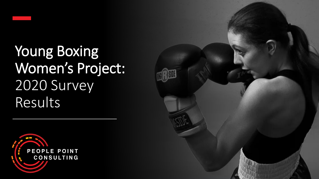

Young Boxing Women's Project: 2020 Survey Results



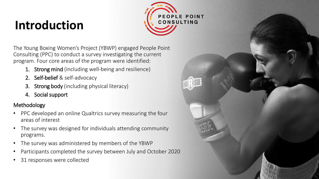# **Introduction**



The Young Boxing Women's Project (YBWP) engaged People Point Consulting (PPC) to conduct a survey investigating the current program. Four core areas of the program were identified:

- 1. Strong mind (including well-being and resilience)
- 2. Self-belief & self-advocacy
- **3. Strong body** (including physical literacy)
- 4. Social support

### Methodology

- PPC developed an online Qualtrics survey measuring the four areas of interest
- The survey was designed for individuals attending community programs.
- The survey was administered by members of the YBWP
- Participants completed the survey between July and October 2020
- 31 responses were collected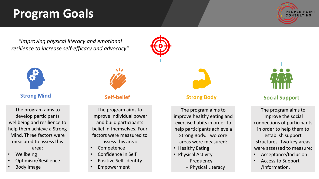## **Program Goals**



*"Improving physical literacy and emotional resilience to increase self-efficacy and advocacy"*



The program aims to develop participants wellbeing and resilience to help them achieve a Strong Mind. Three factors were measured to assess this area:

- **Wellbeing**
- Optimism/Resilience
- Body Image

The program aims to improve individual power and build participants belief in themselves. Four factors were measured to assess this area:

- Competence
- Confidence in Self
- Positive Self-Identity
- **Empowerment**

The program aims to improve healthy eating and exercise habits in order to help participants achieve a Strong Body. Two core areas were measured:

- Healthy Eating
- Physical Activity
	- − Frequency
	- − Physical Literacy



### **Strong Mind Self-belief Self-belief Strong Body Social Support**

The program aims to improve the social connections of participants in order to help them to establish support structures. Two key areas were assessed to measure:

- Acceptance/Inclusion
- Access to Support /Information.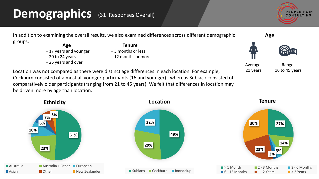### **Demographics** (31 Responses Overall)









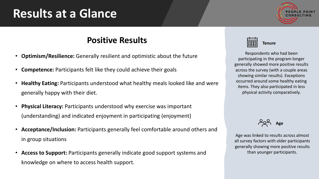## **Results at a Glance**



### **Positive Results**

- **Optimism/Resilience:** Generally resilient and optimistic about the future
- **Competence:** Participants felt like they could achieve their goals
- **Healthy Eating:** Participants understood what healthy meals looked like and were generally happy with their diet.
- **Physical Literacy:** Participants understood why exercise was important (understanding) and indicated enjoyment in participating (enjoyment)
- **Acceptance/Inclusion:** Participants generally feel comfortable around others and in group situations
- **Access to Support:** Participants generally indicate good support systems and knowledge on where to access health support.

**Tenure**

Respondents who had been participating in the program longer generally showed more positive results across the survey (with a couple areas showing similar results). Exceptions occurred around some healthy eating items. They also participated in less physical activity comparatively.

**Age**

Age was linked to results across almost all survey factors with older participants generally showing more positive results than younger participants.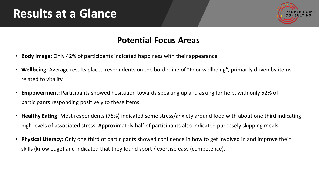## **Results at a Glance**



### **Potential Focus Areas**

- **Body Image:** Only 42% of participants indicated happiness with their appearance
- **Wellbeing:** Average results placed respondents on the borderline of "Poor wellbeing", primarily driven by items related to vitality
- **Empowerment:** Participants showed hesitation towards speaking up and asking for help, with only 52% of participants responding positively to these items
- **Healthy Eating:** Most respondents (78%) indicated some stress/anxiety around food with about one third indicating high levels of associated stress. Approximately half of participants also indicated purposely skipping meals.
- **Physical Literacy:** Only one third of participants showed confidence in how to get involved in and improve their skills (knowledge) and indicated that they found sport / exercise easy (competence).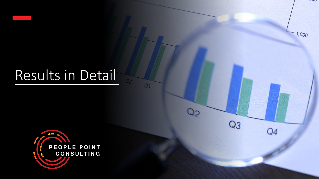# Results in Detail

 $Q_3$ 

Oo

 $Q<sub>3</sub>$ 

Q4

 $\sim$ 

 $1,000$ 

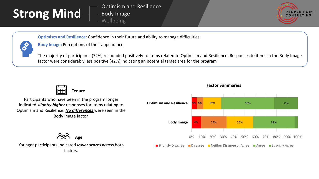# **Strong Mind**

Optimism and Resilience Body Image Wellbeing



**Optimism and Resilience:** Confidence in their future and ability to manage difficulties.

**Body Image:** Perceptions of their appearance.

The majority of participants (72%) responded positively to items related to Optimism and Resilience. Responses to items in the Body Image factor were considerably less positive (42%) indicating an potential target area for the program



Participants who have been in the program longer indicated *slightly higher* responses for items relating to Optimism and Resilience. *No differences* were seen in the Body Image factor.



### **Factor Summaries**

**Age**

Younger participants indicated *lower scores* across both factors.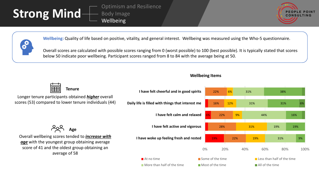

Optimism and Resilience Body Image Wellbeing





**Wellbeing:** Quality of life based on positive, vitality, and general interest. Wellbeing was measured using the Who-5 questionnaire.

Overall scores are calculated with possible scores ranging from 0 (worst possible) to 100 (best possible). It is typically stated that scores below 50 indicate poor wellbeing. Participant scores ranged from 8 to 84 with the average being at 50.



Longer tenure participants obtained *higher* overall scores (53) compared to lower tenure individuals (44)



**Wellbeing Items**

**Age**

Overall wellbeing scores tended to *increase with age* with the youngest group obtaining average score of 41 and the oldest group obtaining an average of 58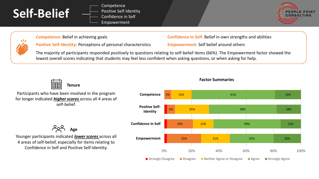

 $\sqrt{2}$ 

**Competence** Positive Self-Identity Confidence in Self Empowerment



**Positive Self-Identity:** Perceptions of personal characteristics **Empowerment:** Self belief around others

**Competence:** Belief in achieving goals **Confidence in** Self: Belief in own strengths and abilities

The majority of participants responded positively to questions relating to self-belief items (66%). The Empowerment factor showed the lowest overall scores indicating that students may feel less confident when asking questions, or when asking for help.



Participants who have been involved in the program for longer indicated *higher scores* across all 4 areas of self-belief.

**Age**

Younger participants indicated *lower scores* across all 4 areas of self-belief, especially for items relating to Confidence in Self and Positive Self-Identity.



#### **Factor Summaries**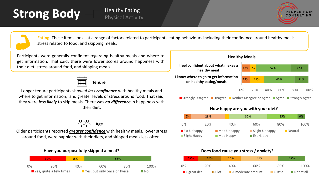



**Eating:** These items looks at a range of factors related to participants eating behaviours including their confidence around healthy meals, stress related to food, and skipping meals.

Participants were generally confident regarding healthy meals and where to get information. That said, there were lower scores around happiness with their diet, stress around food, and skipping meals



Longer tenure participants showed *less confidence* with healthy meals and where to get information, and greater levels of stress around food. That said, they were *less likely* to skip meals. There was *no difference* in happiness with their diet.

$$
\begin{array}{cc} 2 & \text{Age} \\ \text{20} & \text{Age} \end{array}
$$

Older participants reported *greater confidence* with healthy meals, lower stress around food, were happier with their diets, and skipped meals less often.

#### **Have you purposefully skipped a meal?**



### **Healthy Meals**



■ Strongly Disagree ■ Disagree ■ Neither Disagree or Agree ■ Agree ■ Strongly Agree



### **Does food cause you stress / anxiety?**

| 12%            | <b>19%</b>           | <b>16%</b> | 31%               |                         | 22%                       |      |
|----------------|----------------------|------------|-------------------|-------------------------|---------------------------|------|
| 0%             | 20%                  | 40%        | 60%               | 80%                     |                           | 100% |
| ■ A great deal | $\blacksquare$ A lot |            | A moderate amount | $\blacksquare$ A little | $\blacksquare$ Not at all |      |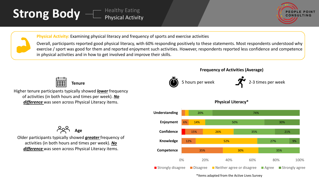



**Physical Activity:** Examining physical literacy and frequency of sports and exercise activities

Overall, participants reported good physical literacy, with 60% responding positively to these statements. Most respondents understood why exercise / sport was good for them and reported enjoyment such activities. However, respondents reported less confidence and competence in physical activities and in how to get involved and improve their skills.



Higher tenure participants typically showed *lower* frequency of activities (in both hours and times per week). *No difference* was seen across Physical Literacy items.







#### **Physical Literacy\***



\*Items adapted from the Active Lives Survey



Older participants typically showed *greater* frequency of activities (in both hours and times per week). *No difference* was seen across Physical Literacy items.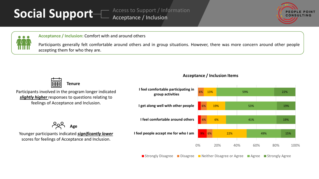# **Social Support**

Access to Support / Information Acceptance / Inclusion





**Acceptance / Inclusion:** Comfort with and around others

Participants generally felt comfortable around others and in group situations. However, there was more concern around other people accepting them for who they are.



Participants involved in the program longer indicated *slightly higher* responses to questions relating to feelings of Acceptance and Inclusion.

204 **Age**

Younger participants indicated *significantly lower*  scores for feelings of Acceptance and Inclusion.

### **Acceptance / Inclusion Items**



■ Strongly Disagree ■ Disagree ■ Neither Disagree or Agree ■ Agree ■ Strongly Agree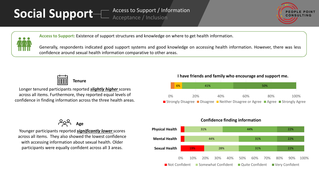# Social Support **Metance / Inclusion**





**Access to Support:** Existence of support structures and knowledge on where to get health information.

Generally, respondents indicated good support systems and good knowledge on accessing health information. However, there was less confidence around sexual health information comparative to other areas.



Longer tenured participants reported *slightly higher* scores across all items. Furthermore, they reported equal levels of confidence in finding information across the three health areas.

**Age**

Younger participants reported *significantly lower* scores across all items. They also showed the lowest confidence with accessing information about sexual health. Older participants were equally confident across all 3 areas.

**I have friends and family who encourage and support me.**

|    | 6% | 41%                                                                                        |     |     | 50% |      |  |
|----|----|--------------------------------------------------------------------------------------------|-----|-----|-----|------|--|
|    |    |                                                                                            |     |     |     |      |  |
| 0% |    | 20%                                                                                        | 40% | 60% | 80% | 100% |  |
|    |    | <b>■</b> Strongly Disagree ■ Disagree ■ Neither Disagree or Agree ■ Agree ■ Strongly Agree |     |     |     |      |  |

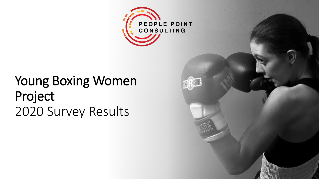

TRIL

# Young Boxing Women Project 2020 Survey Results